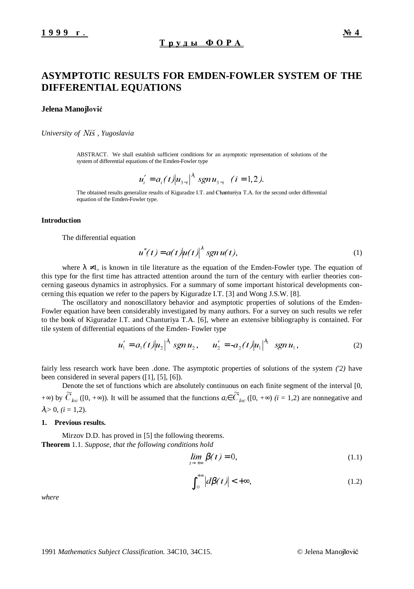# **ASYMPTOTIC RESULTS FOR EMDEN-FOWLER SYSTEM OF THE DIFFERENTIAL EQUATIONS**

#### **Jelena Manojlović**

*University of* 1LV *, Yugoslavia*

ABSTRACT. We shall establish sufficient conditions for an asymptotic representation of solutions of the system of differential equations of the Emden-Fowler type

$$
u'_{i} = a_{i}(t) |u_{3-i}|^{\lambda_{i}} \operatorname{sgn} u_{3-i} \quad (i = 1, 2).
$$

The obtained results generalize results of Kiguradze I.T. and Chanturiya T.A. for the second order differential equation of the Emden-Fowler type.

### **Introduction**

The differential equation

$$
u''(t) = a(t)|u(t)|^{\lambda} sgn u(t), \qquad (1)
$$

where  $\lambda \neq 1$ , is known in tile literature as the equation of the Emden-Fowler type. The equation of this type for the first time has attracted attention around the turn of the century with earlier theories concerning gaseous dynamics in astrophysics. For a summary of some important historical developments concerning this equation we refer to the papers by Kiguradze I.T. [3] and Wong J.S.W. [8].

The oscillatory and nonoscillatory behavior and asymptotic properties of solutions of the Emden-Fowler equation have been considerably investigated by many authors. For a survey on such results we refer to the book of Kiguradze I.T. and Chanturiya T.A. [6], where an extensive bibliography is contained. For tile system of differential equations of the Emden- Fowler type

$$
u_1' = a_1(t) |u_2|^{\lambda_1} sgn u_2, \qquad u_2' = -a_2(t) |u_1|^{\lambda_2} sgn u_1,
$$
 (2)

fairly less research work have been .done. The asymptotic properties of solutions of the system *('2)* have been considered in several papers ([1], [5], [6]).

Denote the set of functions which are absolutely continuous on each finite segment of the interval [0,  $+\infty$ ) by  $\widetilde{C}_{loc}([0, +\infty))$ . It will be assumed that the functions  $a_i \in \widetilde{C}_{loc}([0, +\infty)$  (*i* = 1,2) are nonnegative and  $\lambda_i > 0$ ,  $(i = 1, 2)$ .

#### **1. Previous results.**

Mirzov D.D. has proved in [5] the following theorems. **Theorem** 1.1. *Suppose, that the following conditions hold*

$$
\lim_{t \to +\infty} \beta(t) = 0,\tag{1.1}
$$

$$
\int_{0}^{+\infty} \left| d\beta(t) \right| < +\infty,\tag{1.2}
$$

*where*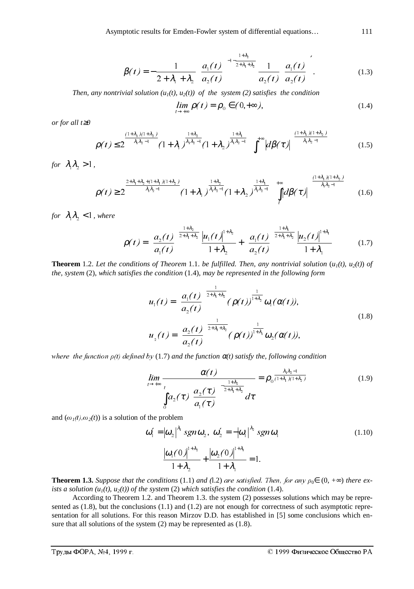$$
\beta(t) = -\frac{1}{2 + \lambda_1 + \lambda_2} \left( \frac{a_1(t)}{a_2(t)} \right)^{-1 - \frac{1 + \lambda_2}{2 + \lambda_1 + \lambda_2}} \frac{1}{a_2(t)} \left( \frac{a_1(t)}{a_2(t)} \right).
$$
(1.3)

*Then, any nontrivial solution*  $(u_1(t), u_2(t))$  *of the system* (2) *satisfies the condition* 

$$
\lim_{t \to +\infty} \rho(t) = \rho_0 \in (0, +\infty), \tag{1.4}
$$

*or for all t*≥*0*

$$
\rho(t) \le 2^{\frac{(1+\lambda_1)(1+\lambda_2)}{\lambda_1\lambda_2 - 1}} (1+\lambda_1)^{\frac{1+\lambda_2}{\lambda_1\lambda_2 - 1}} (1+\lambda_2)^{\frac{1+\lambda_1}{\lambda_1\lambda_2 - 1}} \left( \int_t^{+\infty} |d\beta(\tau)| \right)^{\frac{(1+\lambda_1)(1+\lambda_2)}{\lambda_1\lambda_2 - 1}}
$$
(1.5)

*for*  $\lambda_1 \lambda_2 > 1$ ,

$$
\rho(t) \geq 2^{\frac{2+\lambda_1+\lambda_2+\left(1+\lambda_1\right)\left(1+\lambda_2\right)}{\lambda_1\lambda_2-1}} (1+\lambda_1)^{\frac{1+\lambda_2}{\lambda_1\lambda_2-1}} (1+\lambda_2)^{\frac{1+\lambda_1}{\lambda_1\lambda_2-1}} \left(\prod_{t}^{+\infty} |d\beta(\tau)|\right)^{\frac{\left(1+\lambda_1\right)\left(1+\lambda_2\right)}{\lambda_1\lambda_2-1}} (1.6)
$$

*for*  $\lambda_1 \lambda_2 < 1$ *, where* 

$$
\rho(t) = \left(\frac{a_2(t)}{a_1(t)}\right)^{\frac{1+\lambda_2}{2+\lambda_1+\lambda_2}} \frac{\left|u_1(t)\right|^{1+\lambda_2}}{1+\lambda_2} + \left(\frac{a_1(t)}{a_2(t)}\right)^{\frac{1+\lambda_1}{2+\lambda_1+\lambda_2}} \frac{\left|u_2(t)\right|^{1+\lambda_1}}{1+\lambda_1} \tag{1.7}
$$

**Theorem** 1.2. Let the conditions of Theorem 1.1. be fulfilled. Then, any nontrivial solution  $(u_1(t), u_2(t))$  of *the, system* (2), *which satisfies the condition* (1.4), *may be represented in the following form*

$$
u_1(t) = \left(\frac{a_1(t)}{a_2(t)}\right)^{\frac{1}{2+\lambda_1+\lambda_2}} (\rho(t))^{\frac{1}{1+\lambda_2}} \omega_1(\alpha(t)),
$$
  

$$
u_2(t) = \left(\frac{a_2(t)}{a_2(t)}\right)^{\frac{1}{2+\lambda_1+\lambda_2}} (\rho(t))^{\frac{1}{1+\lambda_1}} \omega_2(\alpha(t)),
$$
 (1.8)

where the function  $\rho(t)$  defined by (1.7) and the function  $\alpha(t)$  satisfy the, following condition

$$
\lim_{t \to +\infty} \frac{\alpha(t)}{\int_{0}^{t} a_2(\tau) \left( \frac{a_2(\tau)}{a_1(\tau)} \right)^{-\frac{1+\lambda_2}{2+\lambda_1+\lambda_2}}} = \rho_0^{\frac{\lambda_1 \lambda_2 - 1}{(1+\lambda_1)(1+\lambda_2)}} \tag{1.9}
$$

and  $(\omega_1(t), \omega_2(t))$  is a solution of the problem

$$
\boldsymbol{\omega}'_1 = |\boldsymbol{\omega}_2|^{ \lambda_1} \operatorname{sgn} \boldsymbol{\omega}_2, \ \boldsymbol{\omega}'_2 = -|\boldsymbol{\omega}_1|^{ \lambda_2} \operatorname{sgn} \boldsymbol{\omega}_1 \tag{1.10}
$$

$$
\frac{|\omega_1(0)|^{1+\lambda_2}}{1+\lambda_2} + \frac{|\omega_2(0)|^{1+\lambda_1}}{1+\lambda_1} = 1.
$$

**Theorem 1.3.** *Suppose that the conditions* (1.1) *and* (1.2) *are satisfied. Then, for any*  $\rho_0 \in (0, +\infty)$  *there exists a solution*  $(u_1(t), u_2(t))$  *of the system (2) which satisfies the condition (1.4).* 

According to Theorem 1.2. and Theorem 1.3. the system (2) possesses solutions which may be represented as  $(1.8)$ , but the conclusions  $(1.1)$  and  $(1.2)$  are not enough for correctness of such asymptotic representation for all solutions. For this reason Mirzov D.D. has established in [5] some conclusions which ensure that all solutions of the system (2) may be represented as (1.8).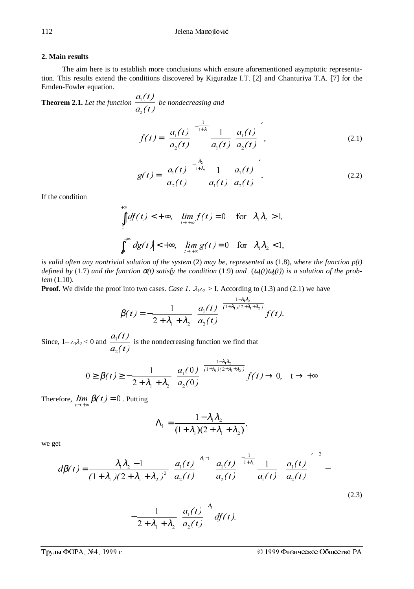#### **2. Main results**

The aim here is to establish more conclusions which ensure aforementioned asymptotic representation. This results extend the conditions discovered by Kiguradze I.T. [2] and Chanturiya T.A. [7] for the Emden-Fowler equation.

**Theorem 2.1.** *Let the function*   $a_{i}(t)$  $a_{\rm l}(t)$  $\overline{\mathbf{c}}$  $\frac{1}{1}$  be nondecreasing and

 $+\infty$ 

$$
f(t) = \left(\frac{a_1(t)}{a_2(t)}\right)^{-\frac{1}{1+\lambda_1}} \frac{1}{a_1(t)} \left(\frac{a_1(t)}{a_2(t)}\right),
$$
\n(2.1)

$$
g(t) = \left(\frac{a_1(t)}{a_2(t)}\right)^{-\frac{\lambda_2}{1+\lambda_2}} \frac{1}{a_1(t)} \left(\frac{a_1(t)}{a_2(t)}\right).
$$
 (2.2)

If the condition

$$
\int_{0}^{1} |df(t)| < +\infty, \quad \lim_{t \to +\infty} f(t) = 0 \quad \text{for} \quad \lambda_{1}\lambda_{2} > 1,
$$
  

$$
\int_{0}^{+\infty} |dg(t)| < +\infty, \quad \lim_{t \to +\infty} g(t) = 0 \quad \text{for} \quad \lambda_{1}\lambda_{2} < 1,
$$

*is valid often any nontrivial solution of the system* (2) *may be, represented as* (1.8), *where the function p(t)*  $\alpha$ *defined by* (1.7) *and the function*  $\alpha$ (*t*) *satisfy the condition* (1.9) *and*  $(\omega_1(t)\omega_2(t))$  *is a solution of the problem* (1.10).

**Proof.** We divide the proof into two cases. *Case 1*.  $\lambda_1 \lambda_2 > I$ . According to (1.3) and (2.1) we have

$$
\beta(t) = -\frac{1}{2 + \lambda_1 + \lambda_2} \left( \frac{a_1(t)}{a_2(t)} \right)^{\frac{1 - \lambda_1 \lambda_2}{(1 + \lambda_1)(2 + \lambda_1 + \lambda_2)}} f(t).
$$

Since,  $1-\lambda_1\lambda_2 < 0$  and  $a_{\overline{2}}(t)$  $a_{\rm l}(t)$  $\overline{\mathbf{c}}$  $\frac{1}{1}$  is the nondecreasing function we find that

$$
0 \ge \beta(t) \ge -\frac{1}{2 + \lambda_1 + \lambda_2} \left( \frac{a_1(0)}{a_2(0)} \right)^{\frac{1 - \lambda_1 \lambda_2}{(1 + \lambda_1)(2 + \lambda_1 + \lambda_2)}} f(t) \to 0, \quad t \to +\infty
$$

Therefore,  $\lim_{t \to +\infty} \beta(t) = 0$ . Putting

$$
\Lambda_1 = \frac{1 - \lambda_1 \lambda_2}{(1 + \lambda_1)(2 + \lambda_1 + \lambda_2)},
$$

we get

$$
d\beta(t) = \frac{\lambda_1 \lambda_2 - 1}{(1 + \lambda_1)(2 + \lambda_1 + \lambda_2)^2} \left(\frac{a_1(t)}{a_2(t)}\right)^{\lambda_1 - 1} \left(\frac{a_1(t)}{a_2(t)}\right)^{-\frac{1}{1 + \lambda_1}} \frac{1}{a_1(t)} \left[\left(\frac{a_1(t)}{a_2(t)}\right)^2\right]^2 -
$$
\n(2.3)

$$
-\frac{1}{2+\lambda_1+\lambda_2}\left(\frac{a_1(t)}{a_2(t)}\right)^{\lambda_1}df(t).
$$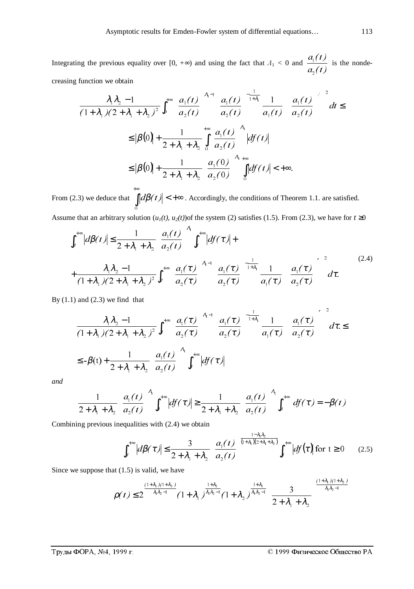Integrating the previous equality over [0,  $+\infty$ ) and using the fact that  $\Lambda_1 < 0$  and  $a_{2}(t)$  $a_{\rm i}(t)$  $\overline{\mathbf{c}}$  $\frac{1}{1}$  is the nondecreasing function we obtain

$$
\frac{\lambda_1 \lambda_2 - 1}{(1 + \lambda_1)(2 + \lambda_1 + \lambda_2)^2} \int_0^{+\infty} \left( \frac{a_1(t)}{a_2(t)} \right)^{\lambda_1 - 1} \left( \frac{a_1(t)}{a_2(t)} \right)^{-\frac{1}{1 + \lambda_1}} \frac{1}{a_1(t)} \left[ \left( \frac{a_1(t)}{a_2(t)} \right)^2 \right]^2 dt \le
$$
  
\n
$$
\leq |\beta(0)| + \frac{1}{2 + \lambda_1 + \lambda_2} \int_0^{+\infty} \left( \frac{a_1(t)}{a_2(t)} \right)^{\lambda_1} |df(t)|
$$
  
\n
$$
\leq |\beta(0)| + \frac{1}{2 + \lambda_1 + \lambda_2} \left( \frac{a_1(0)}{a_2(0)} \right)^{\lambda_1 + \infty} \int_0^{+\infty} |df(t)| < +\infty.
$$

From (2.3) we deduce that  $\int d\beta(t)| < +\infty$ +∞  $\circ$  $d\beta(t)|$  < + $\infty$  . Accordingly, the conditions of Theorem 1.1. are satisfied.

Assume that an arbitrary solution  $(u_1(t), u_2(t))$  of the system (2) satisfies (1.5). From (2.3), we have for  $t \ge 0$ 

$$
\int_{t}^{+\infty} |d\beta(t)| \leq \frac{1}{2 + \lambda_{1} + \lambda_{2}} \left( \frac{a_{1}(t)}{a_{2}(t)} \right)^{\lambda_{1}} \int_{t}^{+\infty} |df(\tau)| +
$$
  
+ 
$$
\frac{\lambda_{1} \lambda_{2} - 1}{(1 + \lambda_{1})(2 + \lambda_{1} + \lambda_{2})^{2}} \int_{t}^{+\infty} \left( \frac{a_{1}(\tau)}{a_{2}(\tau)} \right)^{\lambda_{1} - 1} \left( \frac{a_{1}(\tau)}{a_{2}(\tau)} \right)^{-\frac{1}{1 + \lambda_{1}}} \frac{1}{a_{1}(\tau)} \left[ \left( \frac{a_{1}(\tau)}{a_{2}(\tau)} \right)^{2} \right] d\tau.
$$
 (2.4)

By  $(1.1)$  and  $(2.3)$  we find that

$$
\frac{\lambda_1 \lambda_2 - 1}{(1 + \lambda_1)(2 + \lambda_1 + \lambda_2)^2} \int_t^{+\infty} \left( \frac{a_1(\tau)}{a_2(\tau)} \right)^{\lambda_1 - 1} \left( \frac{a_1(\tau)}{a_2(\tau)} \right)^{-\frac{1}{1 + \lambda_1}} \frac{1}{a_1(\tau)} \left[ \left( \frac{a_1(\tau)}{a_2(\tau)} \right)^2 \right]^2 d\tau \le
$$
  

$$
\leq -\beta(t) + \frac{1}{2 + \lambda_1 + \lambda_2} \left( \frac{a_1(t)}{a_2(t)} \right)^{\lambda_1} \int_t^{+\infty} |df(\tau)|
$$

*and*

$$
\frac{1}{2+\lambda_1+\lambda_2} \left(\frac{a_1(t)}{a_2(t)}\right)^{\lambda_1} \int_t^{+\infty} |df(\tau)| \ge \frac{1}{2+\lambda_1+\lambda_2} \left(\frac{a_1(t)}{a_2(t)}\right)^{\lambda_1} \int_t^{+\infty} df(\tau) = -\beta(t)
$$

Combining previous inequalities with (2.4) we obtain

$$
\int_{t}^{+\infty} \left| d\beta(\tau) \right| \leq \frac{3}{2 + \lambda_1 + \lambda_2} \left( \frac{a_1(t)}{a_2(t)} \right)^{\frac{1 - \lambda_1 \lambda_2}{(1 + \lambda_1)(2 + \lambda_1 + \lambda_2)}} \int_{t}^{+\infty} \left| df(\tau) \right| \text{ for } t \geq 0 \qquad (2.5)
$$

Since we suppose that (1.5) is valid, we have

$$
\rho(t) \leq 2^{\frac{\left(1+\lambda_1\right)\left(1+\lambda_2\right)}{\lambda_1\lambda_2-1}} \left(1+\lambda_1\right)^{\frac{1+\lambda_2}{\lambda_1\lambda_2-1}} \left(1+\lambda_2\right)^{\frac{1+\lambda_1}{\lambda_1\lambda_2-1}} \left(\frac{3}{2+\lambda_1+\lambda_2}\right)^{\frac{\left(1+\lambda_1\right)\left(1+\lambda_2\right)}{\lambda_1\lambda_2-1}}
$$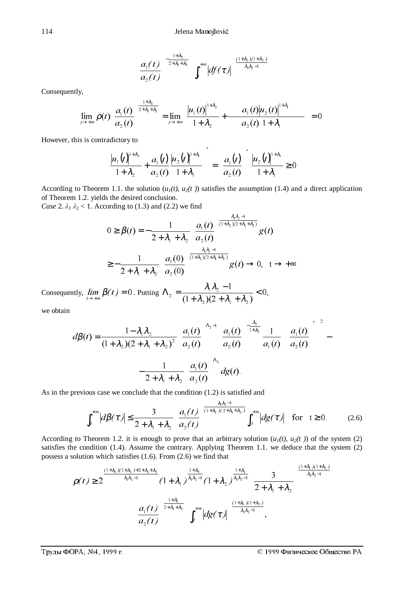$$
\left(\frac{a_1(t)}{a_2(t)}\right)^{-\frac{1+\lambda_2}{2+\lambda_1+\lambda_2}}\left(\int_t^{+\infty}\left|df(\tau)\right|\right)^{\frac{(1+\lambda_1)(1+\lambda_2)}{\lambda_1\lambda_2-1}}
$$

Consequently,

$$
\lim_{t \to +\infty} \rho(t) \left( \frac{a_1(t)}{a_2(t)} \right)^{\frac{1+\lambda_2}{2+\lambda_1+\lambda_2}} = \lim_{t \to +\infty} \left( \frac{|u_1(t)|^{1+\lambda_2}}{1+\lambda_2} + \frac{a_1(t)|u_2(t)|^{1+\lambda_1}}{a_2(t) + \lambda_1} \right) = 0
$$

However, this is contradictory to

$$
\left(\frac{|u_1(t)|^{1+\lambda_2}}{1+\lambda_2} + \frac{a_1(t)}{a_2(t)} \frac{|u_2(t)|^{1+\lambda_1}}{1+\lambda_1}\right) = \left(\frac{a_1(t)}{a_2(t)}\right)' \frac{|u_2(t)|^{1+\lambda_1}}{1+\lambda_1} \ge 0
$$

′

According to Theorem 1.1. the solution  $(u_1(t), u_2(t))$  satisfies the assumption (1.4) and a direct application of Theorem 1.2. yields the desired conclusion.

*Case 2.*  $\lambda_1 \lambda_2$  < 1. According to (1.3) and (2.2) we find

$$
0 \ge \beta(t) = -\frac{1}{2 + \lambda_1 + \lambda_2} \left( \frac{a_1(t)}{a_2(t)} \right)^{\frac{\lambda_1 \lambda_2 - 1}{(1 + \lambda_2)(2 + \lambda_1 + \lambda_2)}} g(t)
$$
  

$$
\ge -\frac{1}{2 + \lambda_1 + \lambda_2} \left( \frac{a_1(0)}{a_2(0)} \right)^{\frac{\lambda_1 \lambda_2 - 1}{(1 + \lambda_2)(2 + \lambda_1 + \lambda_2)}} g(t) \to 0, \quad t \to +\infty
$$

Consequently,  $\lim_{t\to+\infty} \beta(t) = 0$ . Putting  $\Lambda_2 = \frac{\lambda_1 \lambda_2 - 1}{(1 + \lambda_2)(2 + \lambda_1 + \lambda_2)} < 0$ , 2  $\frac{1}{2}$   $\frac{1}{2}$   $\frac{1}{2}$  $\Lambda_2 = \frac{\lambda_1 \lambda_2 - 1}{(1 + \lambda_2)(2 + \lambda_1 + \lambda_2)} <$ 

we obtain

$$
d\beta(t) = \frac{1 - \lambda_1 \lambda_2}{(1 + \lambda_2)(2 + \lambda_1 + \lambda_2)^2} \left(\frac{a_1(t)}{a_2(t)}\right)^{\lambda_2 - 1} \left(\frac{a_1(t)}{a_2(t)}\right)^{-\frac{\lambda_2}{1 + \lambda_2}} \frac{1}{a_1(t)} \left[\left(\frac{a_1(t)}{a_2(t)}\right)^2\right] - \frac{1}{2 + \lambda_1 + \lambda_2} \left(\frac{a_1(t)}{a_2(t)}\right)^{\lambda_2} dg(t).
$$

As in the previous case we conclude that the condition (1.2) is satisfied and

$$
\int_{t}^{+\infty} \left| d\beta(\tau) \right| \leq \frac{3}{2 + \lambda_1 + \lambda_2} \left( \frac{a_1(t)}{a_2(t)} \right)^{\frac{\lambda_1 \lambda_2 - 1}{(1 + \lambda_2)(2 + \lambda_1 + \lambda_2)}} \int_{t}^{+\infty} \left| d g(\tau) \right| \quad \text{for} \quad t \geq 0. \tag{2.6}
$$

According to Theorem 1.2. it is enough to prove that an arbitrary solution  $(u_1(t), u_2(t))$  of the system (2) satisfies the condition (1.4). Assume the contrary. Applying Theorem 1.1. we deduce that the system (2) possess a solution which satisfies (1.6). From (2.6) we find that

$$
\rho(t) \geq 2^{\frac{(1+\lambda_1)(1+\lambda_2)+2+\lambda_1+\lambda_2}{\lambda_1\lambda_2-1}} (1+\lambda_1)^{\frac{1+\lambda_2}{\lambda_1\lambda_2-1}} (1+\lambda_2)^{\frac{1+\lambda_1}{\lambda_1\lambda_2-1}} \left(\frac{3}{2+\lambda_1+\lambda_2}\right)^{\frac{(1+\lambda_1)(1+\lambda_2)}{\lambda_1\lambda_2-1}}
$$

$$
\left(\frac{a_1(t)}{a_2(t)}\right)^{\frac{1+\lambda_1}{2+\lambda_1+\lambda_2}} \left(\int_t^{+\infty} |dg(\tau)|\right)^{\frac{(1+\lambda_1)(1+\lambda_2)}{\lambda_1\lambda_2-1}},
$$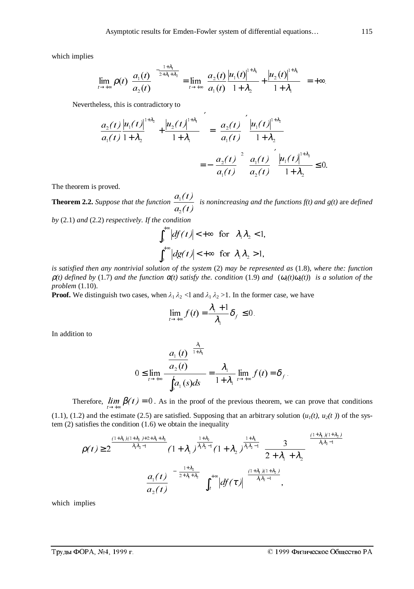which implies

$$
\lim_{t \to +\infty} \rho(t) \left( \frac{a_1(t)}{a_2(t)} \right)^{-\frac{1+\lambda_1}{2+\lambda_1+\lambda_2}} = \lim_{t \to +\infty} \left( \frac{a_2(t)}{a_1(t)} \frac{|u_1(t)|^{1+\lambda_1}}{1+\lambda_2} + \frac{|u_2(t)|^{1+\lambda_1}}{1+\lambda_1} \right) = +\infty.
$$

Nevertheless, this is contradictory to

$$
\left(\frac{a_2(t)}{a_1(t)}\frac{|u_1(t)|^{1+\lambda_2}}{1+\lambda_2} + \frac{|u_2(t)|^{1+\lambda_1}}{1+\lambda_1}\right) = \left(\frac{a_2(t)}{a_1(t)}\right)' \frac{|u_1(t)|^{1+\lambda_2}}{1+\lambda_2}
$$

$$
= \left(\frac{a_2(t)}{a_1(t)}\right)^2 \left(\frac{a_1(t)}{a_2(t)}\right)' \frac{|u_1(t)|^{1+\lambda_2}}{1+\lambda_2} \le 0.
$$

The theorem is proved.

**Theorem 2.2.** *Suppose that the function*   $a_{2}(t)$  $a_{\rm l}(t)$  $\overline{\mathbf{c}}$  $\frac{f(t)}{f(t)}$  is nonincreasing and the functions  $f(t)$  and  $g(t)$  are *defined* 

*by* (2.1) *and* (2.2) *respectively. If the condition*

$$
\int_0^{+\infty} \left| df(t) \right| < +\infty \quad \text{for} \quad \lambda_1 \lambda_2 < 1,
$$
\n
$$
\int_0^{+\infty} \left| dg(t) \right| < +\infty \quad \text{for} \quad \lambda_1 \lambda_2 > 1,
$$

*is satisfied then any nontrivial solution of the system* (2) *may be represented as* (1.8), *where the: function*  $\rho(t)$  defined by (1.7) and the function  $\alpha(t)$  satisfy the. condition (1.9) and  $(\omega_1(t)\omega_2(t))$  is a solution of the *problem* (1.10).

**Proof.** We distinguish two cases, when  $\lambda_1 \lambda_2$  <1 and  $\lambda_1 \lambda_2$  >1. In the former case, we have

$$
\lim_{t\to+\infty}f(t)=\frac{\lambda_1+1}{\lambda_1}\delta_f\leq 0.
$$

In addition to

$$
0 \le \lim_{t \to +\infty} \frac{\left(\frac{a_1(t)}{a_2(t)}\right)^{\frac{\lambda_1}{1+\lambda_1}}}{\int_0^t a_1(s)ds} = \frac{\lambda_1}{1+\lambda_1} \lim_{t \to +\infty} f(t) = \delta_f.
$$

Therefore,  $\lim_{t \to +\infty} \beta(t) = 0$ . As in the proof of the previous theorem, we can prove that conditions

(1.1), (1.2) and the estimate (2.5) are satisfied. Supposing that an arbitrary solution  $(u_1(t), u_2(t))$  of the system (2) satisfies the condition (1.6) we obtain the inequality

$$
\rho(t) \geq 2^{\frac{(1+\lambda_{1})(1+\lambda_{2})+2+\lambda_{1}+\lambda_{2}}{\lambda_{1}\lambda_{2}-1}} (1+\lambda_{1})^{\frac{1+\lambda_{2}}{\lambda_{1}\lambda_{2}-1}} (1+\lambda_{2})^{\frac{1+\lambda_{1}}{\lambda_{1}\lambda_{2}-1}} \left(\frac{3}{2+\lambda_{1}+\lambda_{2}}\right)^{\frac{(1+\lambda_{1})(1+\lambda_{2})}{\lambda_{1}\lambda_{2}-1}}
$$

$$
\left(\frac{a_{1}(t)}{a_{2}(t)}\right)^{-\frac{1+\lambda_{2}}{2+\lambda_{1}+\lambda_{2}}} \left(\int_{t}^{+\infty} |df(\tau)|\right)^{\frac{(1+\lambda_{1})(1+\lambda_{2})}{\lambda_{1}\lambda_{2}-1}},
$$

which implies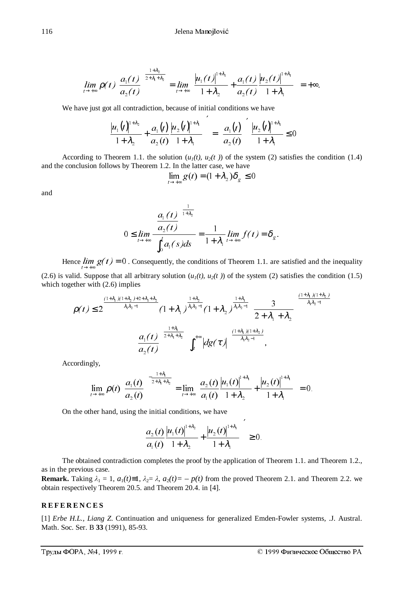$$
\lim_{t \to +\infty} \rho(t) \left( \frac{a_1(t)}{a_2(t)} \right)^{\frac{1+\lambda_2}{2+\lambda_1+\lambda_2}} = \lim_{t \to +\infty} \left( \frac{|u_1(t)|^{1+\lambda_1}}{1+\lambda_2} + \frac{a_1(t)}{a_2(t)} \frac{|u_2(t)|^{1+\lambda_1}}{1+\lambda_1} \right) = +\infty.
$$

We have just got all contradiction, because of initial conditions we have

$$
\left(\frac{|u_1(t)|^{1+\lambda_2}}{1+\lambda_2}+\frac{a_1(t)}{a_2(t)}\frac{|u_2(t)|^{1+\lambda_1}}{1+\lambda_1}\right)^{\!\!\prime}=\left(\frac{a_1(t)}{a_2(t)}\right)^{\!\!\prime}\frac{|u_2(t)|^{1+\lambda_1}}{1+\lambda_1}\leq 0
$$

According to Theorem 1.1. the solution  $(u_1(t), u_2(t))$  of the system (2) satisfies the condition (1.4) and the conclusion follows by Theorem 1.2. In the latter case, we have

$$
\lim_{t \to +\infty} g(t) = (1 + \lambda_2) \delta_g \le 0
$$

and

$$
0 \le \lim_{t \to +\infty} \frac{\left(\frac{a_1(t)}{a_2(t)}\right)^{\frac{1}{1+\lambda_2}}}{\int_0^t a_1(s)ds} = \frac{1}{1+\lambda_1} \lim_{t \to +\infty} f(t) = \delta_g.
$$

Hence  $\lim_{t \to +\infty} g(t) = 0$ . Consequently, the conditions of Theorem 1.1. are satisfied and the inequality (2.6) is valid. Suppose that all arbitrary solution  $(u_1(t), u_2(t))$  of the system (2) satisfies the condition (1.5) which together with  $(2.6)$  implies

$$
\rho(t) \leq 2^{\frac{(1+\lambda_1)(1+\lambda_2)+2+\lambda_1+\lambda_2}{\lambda_1\lambda_2-1}}(1+\lambda_1)^{\frac{1+\lambda_2}{\lambda_1\lambda_2-1}}(1+\lambda_2)^{\frac{1+\lambda_1}{\lambda_1\lambda_2-1}}\left(\frac{3}{2+\lambda_1+\lambda_2}\right)^{\frac{(1+\lambda_1)(1+\lambda_2)}{\lambda_1\lambda_2-1}}
$$

$$
\left(\frac{a_1(t)}{a_2(t)}\right)^{\frac{1+\lambda_1}{2+\lambda_1+\lambda_2}}\left(\int_t^{+\infty}\left|dg(\tau)\right|\right)^{\frac{(1+\lambda_1)(1+\lambda_2)}{\lambda_1\lambda_2-1}},
$$

Accordingly,

$$
\lim_{t \to +\infty} \rho(t) \left( \frac{a_1(t)}{a_2(t)} \right)^{-\frac{1+\lambda_1}{2+\lambda_1+\lambda_2}} = \lim_{t \to +\infty} \left( \frac{a_2(t)}{a_1(t)} \frac{|u_1(t)|^{1+\lambda_1}}{1+\lambda_2} + \frac{|u_2(t)|^{1+\lambda_1}}{1+\lambda_1} \right) = 0.
$$

On the other hand, using the initial conditions, we have

$$
\left(\frac{a_2(t)}{a_1(t)}\frac{|u_1(t)|^{1+\lambda_2}}{1+\lambda_2}+\frac{|u_2(t)|^{1+\lambda_1}}{1+\lambda_1}\right)^2\geq 0.
$$

The obtained contradiction completes the proof by the application of Theorem 1.1. and Theorem 1.2., as in the previous case.

**Remark.** Taking  $\lambda_1 = 1$ ,  $a_1(t)=1$ ,  $\lambda_2 = \lambda$ ,  $a_2(t)=-p(t)$  from the proved Theorem 2.1. and Theorem 2.2. we obtain respectively Theorem 20.5. and Theorem 20.4. in [4].

## **REFERENCES**

[1] *Erbe H.L., Liang Z*. Continuation and uniqueness for generalized Emden-Fowler systems*,* .J. Austral. Math. Soc. Ser. B **33** (1991), 85-93.